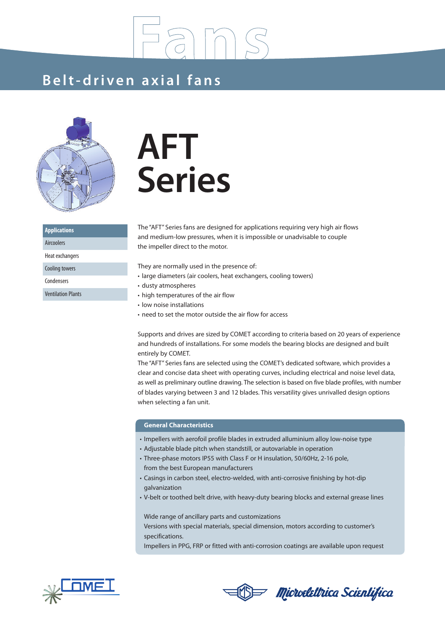### **Be lt- dri ven a x i a l f ans**



**Applications** Aircoolers Heat exchangers Cooling towers Condensers Ventilation Plants

# **AFT Series**

The "AFT" Series fans are designed for applications requiring very high air flows and medium-low pressures, when it is impossible or unadvisable to couple the impeller direct to the motor.

They are normally used in the presence of:

- large diameters (air coolers, heat exchangers, cooling towers)
- dusty atmospheres
- high temperatures of the air flow
- low noise installations
- need to set the motor outside the air flow for access

Supports and drives are sized by COMET according to criteria based on 20 years of experience and hundreds of installations. For some models the bearing blocks are designed and built entirely by COMET.

The "AFT" Series fans are selected using the COMET's dedicated software, which provides a clear and concise data sheet with operating curves, including electrical and noise level data, as well as preliminary outline drawing. The selection is based on five blade profiles, with number of blades varying between 3 and 12 blades. This versatility gives unrivalled design options when selecting a fan unit.

#### **General Characteristics**

- Impellers with aerofoil profile blades in extruded alluminium alloy low-noise type
- Adjustable blade pitch when standstill, or autovariable in operation
- Three-phase motors IP55 with Class F or H insulation, 50/60Hz, 2-16 pole,
- from the best European manufacturers
- Casings in carbon steel, electro-welded, with anti-corrosive finishing by hot-dip galvanization
- V-belt or toothed belt drive, with heavy-duty bearing blocks and external grease lines

Wide range of ancillary parts and customizations Versions with special materials, special dimension, motors according to customer's specifications.

Impellers in PPG, FRP or fitted with anti-corrosion coatings are available upon request